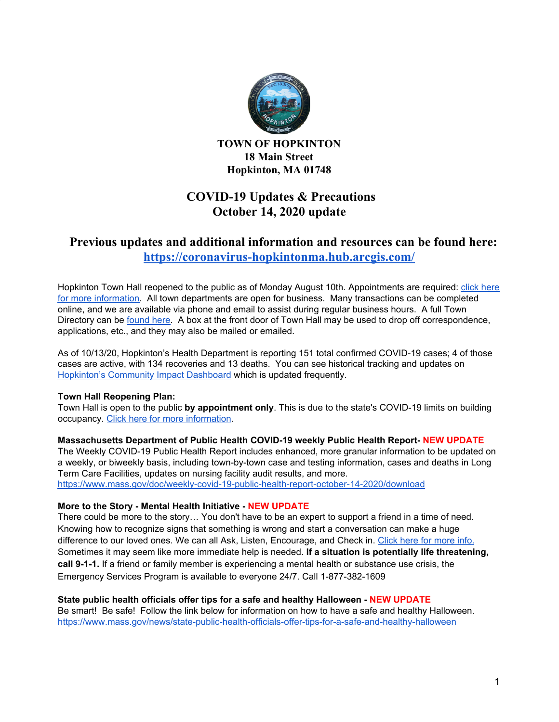

**TOWN OF HOPKINTON 18 Main Street Hopkinton, MA 01748**

# **COVID-19 Updates & Precautions October 14, 2020 update**

## **Previous updates and additional information and resources can be found here: <https://coronavirus-hopkintonma.hub.arcgis.com/>**

Hopkinton Town Hall reopened to the public as of Monday August 10th. Appointments are required: click [here](https://www.hopkintonma.gov/Hopkinton%20Town%20Hall%20Reopening%20Plan%208-7-2020.pdf) for more [information.](https://www.hopkintonma.gov/Hopkinton%20Town%20Hall%20Reopening%20Plan%208-7-2020.pdf) All town departments are open for business. Many transactions can be completed online, and we are available via phone and email to assist during regular business hours. A full Town Directory can be [found](https://www.hopkintonma.gov/departments/index.php) here. A box at the front door of Town Hall may be used to drop off correspondence, applications, etc., and they may also be mailed or emailed.

As of 10/13/20, Hopkinton's Health Department is reporting 151 total confirmed COVID-19 cases; 4 of those cases are active, with 134 recoveries and 13 deaths. You can see historical tracking and updates on [Hopkinton's](https://hopkintonma.maps.arcgis.com/apps/opsdashboard/index.html#/01aa244939e540aeb2991ec71392d431) Community Impact Dashboard which is updated frequently.

### **Town Hall Reopening Plan:**

Town Hall is open to the public **by appointment only**. This is due to the state's COVID-19 limits on building occupancy. Click here for more [information.](https://www.hopkintonma.gov/Hopkinton%20Town%20Hall%20Reopening%20Plan%208-7-2020.pdf)

### **Massachusetts Department of Public Health COVID-19 weekly Public Health Report- NEW UPDATE**

The Weekly COVID-19 Public Health Report includes enhanced, more granular information to be updated on a weekly, or biweekly basis, including town-by-town case and testing information, cases and deaths in Long Term Care Facilities, updates on nursing facility audit results, and more.

<https://www.mass.gov/doc/weekly-covid-19-public-health-report-october-14-2020/download>

### **More to the Story - Mental Health Initiative - NEW UPDATE**

There could be more to the story… You don't have to be an expert to support a friend in a time of need. Knowing how to recognize signs that something is wrong and start a conversation can make a huge difference to our loved ones. We can all Ask, Listen, Encourage, and Check in. Click here for [more](https://www.mass.gov/there-could-be-more-to-the-story) info. Sometimes it may seem like more immediate help is needed. **If a situation is potentially life threatening, call 9-1-1.** If a friend or family member is experiencing a mental health or substance use crisis, the Emergency Services Program is available to everyone 24/7. Call 1-877-382-1609

### **State public health officials offer tips for a safe and healthy Halloween - NEW UPDATE**

Be smart! Be safe! Follow the link below for information on how to have a safe and healthy Halloween. <https://www.mass.gov/news/state-public-health-officials-offer-tips-for-a-safe-and-healthy-halloween>